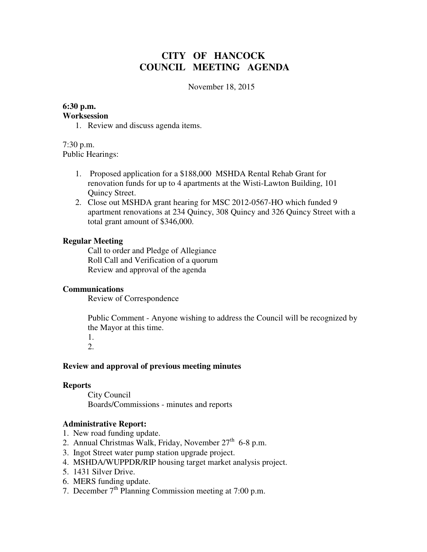# **CITY OF HANCOCK COUNCIL MEETING AGENDA**

November 18, 2015

# **6:30 p.m.**

### **Worksession**

1. Review and discuss agenda items.

7:30 p.m. Public Hearings:

- 1. Proposed application for a \$188,000 MSHDA Rental Rehab Grant for renovation funds for up to 4 apartments at the Wisti-Lawton Building, 101 Quincy Street.
- 2. Close out MSHDA grant hearing for MSC 2012-0567-HO which funded 9 apartment renovations at 234 Quincy, 308 Quincy and 326 Quincy Street with a total grant amount of \$346,000.

## **Regular Meeting**

 Call to order and Pledge of Allegiance Roll Call and Verification of a quorum Review and approval of the agenda

## **Communications**

Review of Correspondence

 Public Comment - Anyone wishing to address the Council will be recognized by the Mayor at this time.

1. 2.

## **Review and approval of previous meeting minutes**

#### **Reports**

City Council Boards/Commissions - minutes and reports

## **Administrative Report:**

- 1. New road funding update.
- 2. Annual Christmas Walk, Friday, November  $27<sup>th</sup>$  6-8 p.m.
- 3. Ingot Street water pump station upgrade project.
- 4. MSHDA/WUPPDR/RIP housing target market analysis project.
- 5. 1431 Silver Drive.
- 6. MERS funding update.
- 7. December  $7<sup>th</sup>$  Planning Commission meeting at 7:00 p.m.